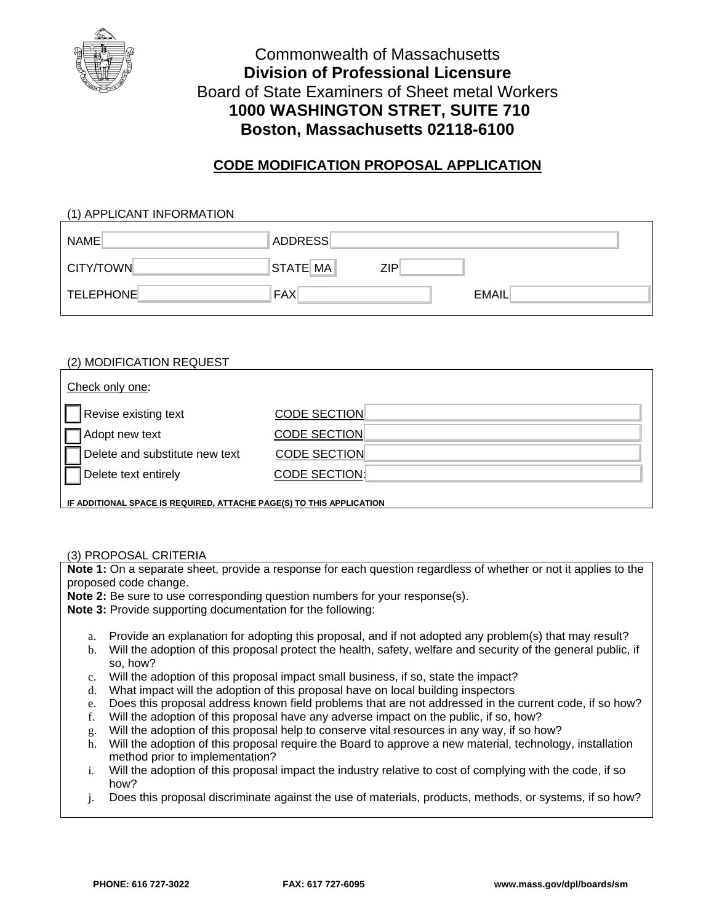

# Commonwealth of Massachusetts **Division of Professional Licensure**  Board of State Examiners of Sheet metal Workers **1000 WASHINGTON STRET, SUITE 710 Boston, Massachusetts 02118-6100**

## **CODE MODIFICATION PROPOSAL APPLICATION**

### (1) APPLICANT INFORMATION

| NAME             | <b>ADDRESS</b> |     |              |
|------------------|----------------|-----|--------------|
| CITY/TOWN        | STATE MA       | 7IP |              |
| <b>TELEPHONE</b> | <b>FAX</b>     |     | <b>EMAIL</b> |

# (2) MODIFICATION REQUEST Check only one: Revise existing text CODE SECTION Adopt new text CODE SECTION Delete and substitute new text CODE SECTION Delete text entirely CODE SECTION:

**IF ADDITIONAL SPACE IS REQUIRED, ATTACHE PAGE(S) TO THIS APPLICATION** 

## (3) PROPOSAL CRITERIA

**Note 1:** On a separate sheet, provide a response for each question regardless of whether or not it applies to the proposed code change.

**Note 2:** Be sure to use corresponding question numbers for your response(s).

**Note 3:** Provide supporting documentation for the following:

- a. Provide an explanation for adopting this proposal, and if not adopted any problem(s) that may result?
- b. Will the adoption of this proposal protect the health, safety, welfare and security of the general public, if so, how?
- c. Will the adoption of this proposal impact small business, if so, state the impact?
- d. What impact will the adoption of this proposal have on local building inspectors
- e. Does this proposal address known field problems that are not addressed in the current code, if so how?
- f. Will the adoption of this proposal have any adverse impact on the public, if so, how?
- g. Will the adoption of this proposal help to conserve vital resources in any way, if so how?
- h. Will the adoption of this proposal require the Board to approve a new material, technology, installation method prior to implementation?
- i. Will the adoption of this proposal impact the industry relative to cost of complying with the code, if so how?
- j. Does this proposal discriminate against the use of materials, products, methods, or systems, if so how?